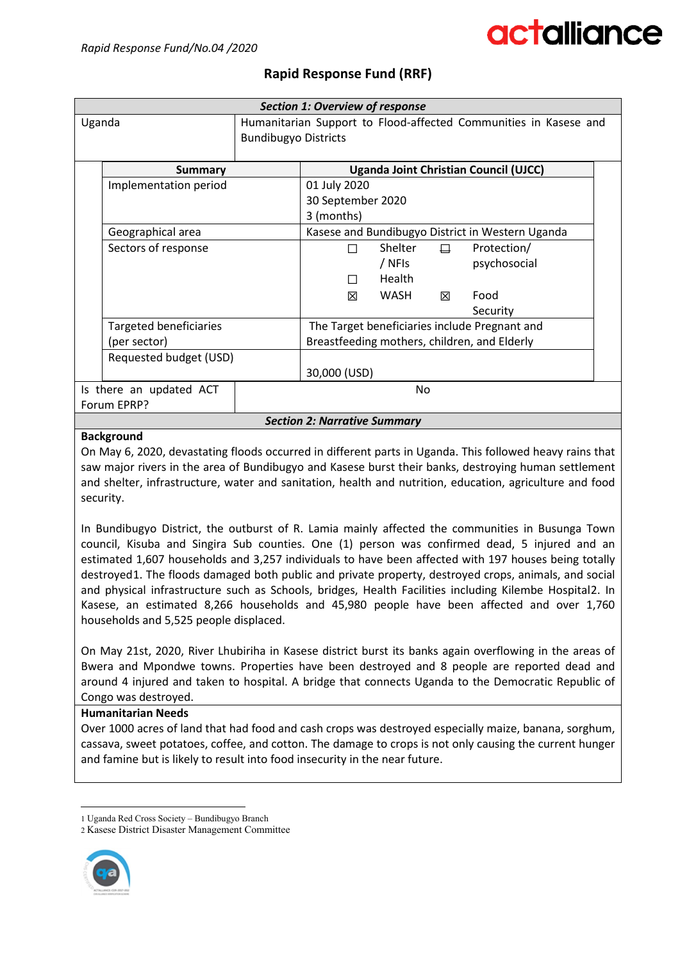### **Rapid Response Fund (RRF)**

| <b>Section 1: Overview of response</b> |                               |                                                                  |                                               |         |        |                                                  |  |
|----------------------------------------|-------------------------------|------------------------------------------------------------------|-----------------------------------------------|---------|--------|--------------------------------------------------|--|
| Uganda                                 |                               | Humanitarian Support to Flood-affected Communities in Kasese and |                                               |         |        |                                                  |  |
|                                        |                               | <b>Bundibugyo Districts</b>                                      |                                               |         |        |                                                  |  |
|                                        |                               |                                                                  |                                               |         |        |                                                  |  |
|                                        | <b>Summary</b>                |                                                                  |                                               |         |        | <b>Uganda Joint Christian Council (UJCC)</b>     |  |
|                                        | Implementation period         |                                                                  | 01 July 2020                                  |         |        |                                                  |  |
|                                        |                               |                                                                  | 30 September 2020                             |         |        |                                                  |  |
|                                        |                               |                                                                  | 3 (months)                                    |         |        |                                                  |  |
|                                        | Geographical area             |                                                                  |                                               |         |        | Kasese and Bundibugyo District in Western Uganda |  |
|                                        | Sectors of response           |                                                                  | П                                             | Shelter | $\Box$ | Protection/                                      |  |
|                                        |                               |                                                                  |                                               | / NFIs  |        | psychosocial                                     |  |
|                                        |                               |                                                                  |                                               | Health  |        |                                                  |  |
|                                        |                               |                                                                  | ⊠                                             | WASH    | 冈      | Food                                             |  |
|                                        |                               |                                                                  |                                               |         |        | Security                                         |  |
|                                        | <b>Targeted beneficiaries</b> |                                                                  | The Target beneficiaries include Pregnant and |         |        |                                                  |  |
| (per sector)                           |                               | Breastfeeding mothers, children, and Elderly                     |                                               |         |        |                                                  |  |
|                                        | Requested budget (USD)        |                                                                  |                                               |         |        |                                                  |  |
|                                        |                               |                                                                  | 30,000 (USD)                                  |         |        |                                                  |  |
| Is there an updated ACT                |                               |                                                                  | No                                            |         |        |                                                  |  |
| Forum EPRP?                            |                               |                                                                  |                                               |         |        |                                                  |  |
| <b>Section 2: Narrative Summary</b>    |                               |                                                                  |                                               |         |        |                                                  |  |

#### **Background**

On May 6, 2020, devastating floods occurred in different parts in Uganda. This followed heavy rains that saw major rivers in the area of Bundibugyo and Kasese burst their banks, destroying human settlement and shelter, infrastructure, water and sanitation, health and nutrition, education, agriculture and food security.

In Bundibugyo District, the outburst of R. Lamia mainly affected the communities in Busunga Town council, Kisuba and Singira Sub counties. One (1) person was confirmed dead, 5 injured and an estimated 1,607 households and 3,257 individuals to have been affected with 197 houses being totally destroyed[1](#page-0-0). The floods damaged both public and private property, destroyed crops, animals, and social and physical infrastructure such as Schools, bridges, Health Facilities including Kilembe Hospital[2](#page-0-1). In Kasese, an estimated 8,266 households and 45,980 people have been affected and over 1,760 households and 5,525 people displaced.

On May 21st, 2020, River Lhubiriha in Kasese district burst its banks again overflowing in the areas of Bwera and Mpondwe towns. Properties have been destroyed and 8 people are reported dead and around 4 injured and taken to hospital. A bridge that connects Uganda to the Democratic Republic of Congo was destroyed.

#### **Humanitarian Needs**

Over 1000 acres of land that had food and cash crops was destroyed especially maize, banana, sorghum, cassava, sweet potatoes, coffee, and cotton. The damage to crops is not only causing the current hunger and famine but is likely to result into food insecurity in the near future.

<span id="page-0-1"></span><span id="page-0-0"></span><sup>2</sup> Kasese District Disaster Management Committee



 <sup>1</sup> Uganda Red Cross Society – Bundibugyo Branch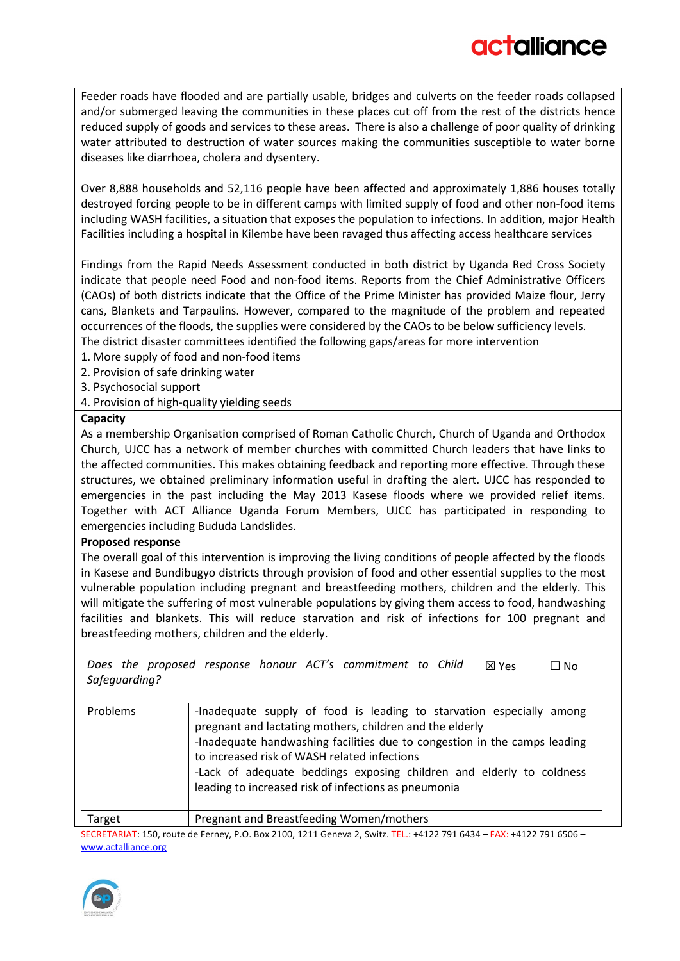Feeder roads have flooded and are partially usable, bridges and culverts on the feeder roads collapsed and/or submerged leaving the communities in these places cut off from the rest of the districts hence reduced supply of goods and services to these areas. There is also a challenge of poor quality of drinking water attributed to destruction of water sources making the communities susceptible to water borne diseases like diarrhoea, cholera and dysentery.

Over 8,888 households and 52,116 people have been affected and approximately 1,886 houses totally destroyed forcing people to be in different camps with limited supply of food and other non-food items including WASH facilities, a situation that exposes the population to infections. In addition, major Health Facilities including a hospital in Kilembe have been ravaged thus affecting access healthcare services

Findings from the Rapid Needs Assessment conducted in both district by Uganda Red Cross Society indicate that people need Food and non-food items. Reports from the Chief Administrative Officers (CAOs) of both districts indicate that the Office of the Prime Minister has provided Maize flour, Jerry cans, Blankets and Tarpaulins. However, compared to the magnitude of the problem and repeated occurrences of the floods, the supplies were considered by the CAOs to be below sufficiency levels. The district disaster committees identified the following gaps/areas for more intervention

1. More supply of food and non-food items

2. Provision of safe drinking water

- 3. Psychosocial support
- 4. Provision of high-quality yielding seeds

#### **Capacity**

As a membership Organisation comprised of Roman Catholic Church, Church of Uganda and Orthodox Church, UJCC has a network of member churches with committed Church leaders that have links to the affected communities. This makes obtaining feedback and reporting more effective. Through these structures, we obtained preliminary information useful in drafting the alert. UJCC has responded to emergencies in the past including the May 2013 Kasese floods where we provided relief items. Together with ACT Alliance Uganda Forum Members, UJCC has participated in responding to emergencies including Bududa Landslides.

#### **Proposed response**

The overall goal of this intervention is improving the living conditions of people affected by the floods in Kasese and Bundibugyo districts through provision of food and other essential supplies to the most vulnerable population including pregnant and breastfeeding mothers, children and the elderly. This will mitigate the suffering of most vulnerable populations by giving them access to food, handwashing facilities and blankets. This will reduce starvation and risk of infections for 100 pregnant and breastfeeding mothers, children and the elderly.

*Does the proposed response honour ACT's commitment to Child Safeguarding?* ☒ Yes ☐ No

| Problems | -Inadequate supply of food is leading to starvation especially among<br>pregnant and lactating mothers, children and the elderly<br>-Inadequate handwashing facilities due to congestion in the camps leading<br>to increased risk of WASH related infections<br>-Lack of adequate beddings exposing children and elderly to coldness<br>leading to increased risk of infections as pneumonia |
|----------|-----------------------------------------------------------------------------------------------------------------------------------------------------------------------------------------------------------------------------------------------------------------------------------------------------------------------------------------------------------------------------------------------|
| Target   | Pregnant and Breastfeeding Women/mothers                                                                                                                                                                                                                                                                                                                                                      |

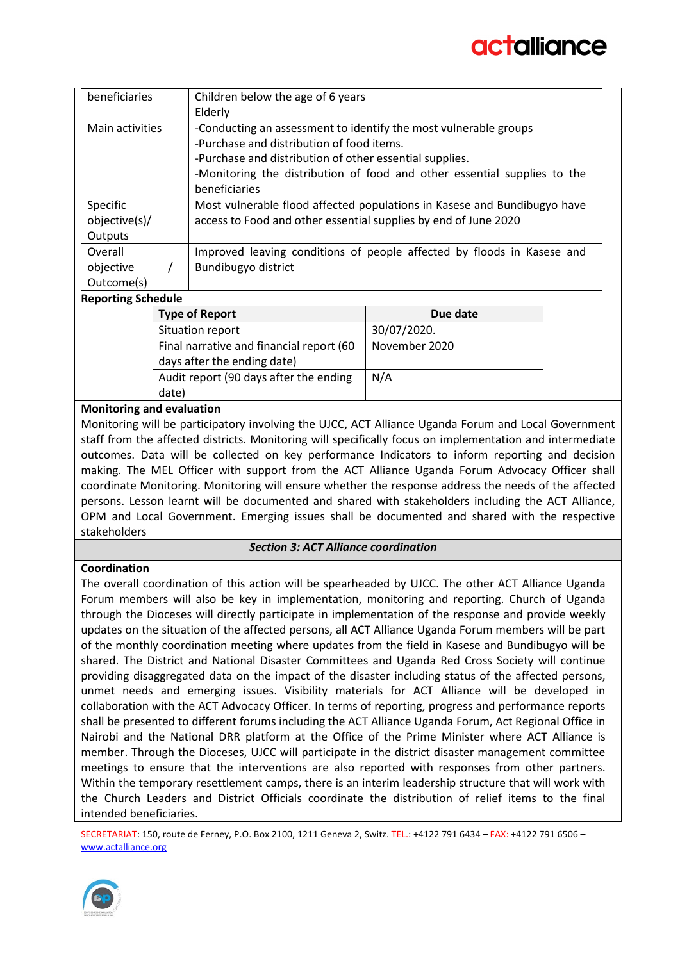| beneficiaries                                                                       | Children below the age of 6 years                                        |  |  |
|-------------------------------------------------------------------------------------|--------------------------------------------------------------------------|--|--|
|                                                                                     | Elderly                                                                  |  |  |
| Main activities<br>-Conducting an assessment to identify the most vulnerable groups |                                                                          |  |  |
| -Purchase and distribution of food items.                                           |                                                                          |  |  |
|                                                                                     | -Purchase and distribution of other essential supplies.                  |  |  |
|                                                                                     | -Monitoring the distribution of food and other essential supplies to the |  |  |
|                                                                                     | beneficiaries                                                            |  |  |
| Specific                                                                            | Most vulnerable flood affected populations in Kasese and Bundibugyo have |  |  |
| objective(s)/                                                                       | access to Food and other essential supplies by end of June 2020          |  |  |
| Outputs                                                                             |                                                                          |  |  |
| Overall                                                                             | Improved leaving conditions of people affected by floods in Kasese and   |  |  |
| objective                                                                           | Bundibugyo district                                                      |  |  |
| Outcome(s)                                                                          |                                                                          |  |  |
| Die eerste van De keerde de                                                         |                                                                          |  |  |

#### **Reporting Schedule**

| <b>Type of Report</b>                    | Due date      |  |  |
|------------------------------------------|---------------|--|--|
| Situation report                         | 30/07/2020.   |  |  |
| Final narrative and financial report (60 | November 2020 |  |  |
| days after the ending date)              |               |  |  |
| Audit report (90 days after the ending   | N/A           |  |  |
| date)                                    |               |  |  |

#### **Monitoring and evaluation**

Monitoring will be participatory involving the UJCC, ACT Alliance Uganda Forum and Local Government staff from the affected districts. Monitoring will specifically focus on implementation and intermediate outcomes. Data will be collected on key performance Indicators to inform reporting and decision making. The MEL Officer with support from the ACT Alliance Uganda Forum Advocacy Officer shall coordinate Monitoring. Monitoring will ensure whether the response address the needs of the affected persons. Lesson learnt will be documented and shared with stakeholders including the ACT Alliance, OPM and Local Government. Emerging issues shall be documented and shared with the respective stakeholders

#### *Section 3: ACT Alliance coordination*

#### **Coordination**

The overall coordination of this action will be spearheaded by UJCC. The other ACT Alliance Uganda Forum members will also be key in implementation, monitoring and reporting. Church of Uganda through the Dioceses will directly participate in implementation of the response and provide weekly updates on the situation of the affected persons, all ACT Alliance Uganda Forum members will be part of the monthly coordination meeting where updates from the field in Kasese and Bundibugyo will be shared. The District and National Disaster Committees and Uganda Red Cross Society will continue providing disaggregated data on the impact of the disaster including status of the affected persons, unmet needs and emerging issues. Visibility materials for ACT Alliance will be developed in collaboration with the ACT Advocacy Officer. In terms of reporting, progress and performance reports shall be presented to different forums including the ACT Alliance Uganda Forum, Act Regional Office in Nairobi and the National DRR platform at the Office of the Prime Minister where ACT Alliance is member. Through the Dioceses, UJCC will participate in the district disaster management committee meetings to ensure that the interventions are also reported with responses from other partners. Within the temporary resettlement camps, there is an interim leadership structure that will work with the Church Leaders and District Officials coordinate the distribution of relief items to the final intended beneficiaries.

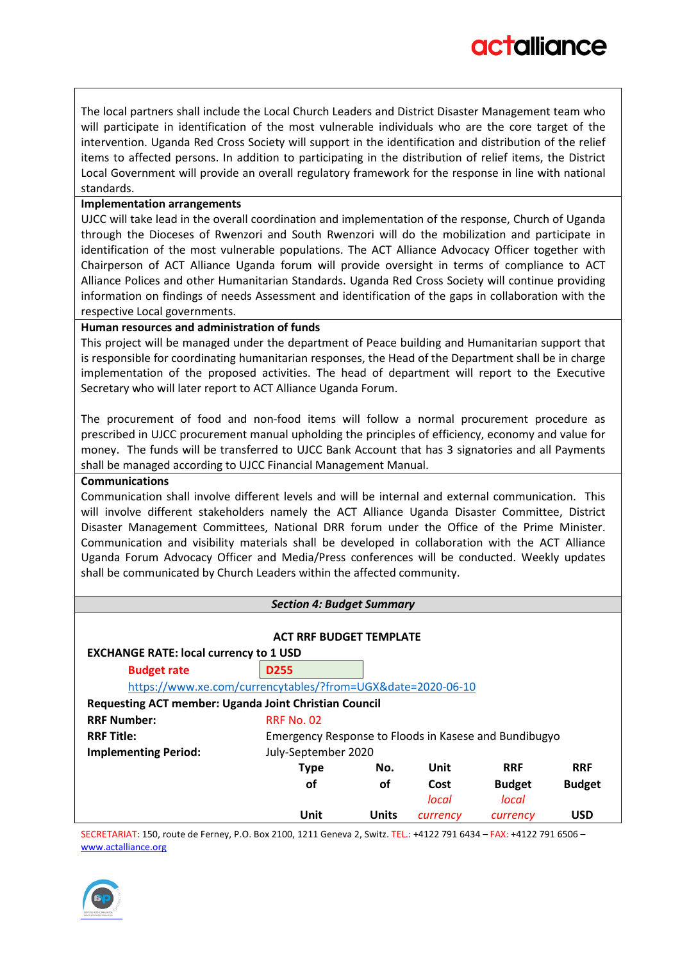The local partners shall include the Local Church Leaders and District Disaster Management team who will participate in identification of the most vulnerable individuals who are the core target of the intervention. Uganda Red Cross Society will support in the identification and distribution of the relief items to affected persons. In addition to participating in the distribution of relief items, the District Local Government will provide an overall regulatory framework for the response in line with national standards.

#### **Implementation arrangements**

UJCC will take lead in the overall coordination and implementation of the response, Church of Uganda through the Dioceses of Rwenzori and South Rwenzori will do the mobilization and participate in identification of the most vulnerable populations. The ACT Alliance Advocacy Officer together with Chairperson of ACT Alliance Uganda forum will provide oversight in terms of compliance to ACT Alliance Polices and other Humanitarian Standards. Uganda Red Cross Society will continue providing information on findings of needs Assessment and identification of the gaps in collaboration with the respective Local governments.

#### **Human resources and administration of funds**

This project will be managed under the department of Peace building and Humanitarian support that is responsible for coordinating humanitarian responses, the Head of the Department shall be in charge implementation of the proposed activities. The head of department will report to the Executive Secretary who will later report to ACT Alliance Uganda Forum.

The procurement of food and non-food items will follow a normal procurement procedure as prescribed in UJCC procurement manual upholding the principles of efficiency, economy and value for money. The funds will be transferred to UJCC Bank Account that has 3 signatories and all Payments shall be managed according to UJCC Financial Management Manual.

#### **Communications**

Communication shall involve different levels and will be internal and external communication. This will involve different stakeholders namely the ACT Alliance Uganda Disaster Committee, District Disaster Management Committees, National DRR forum under the Office of the Prime Minister. Communication and visibility materials shall be developed in collaboration with the ACT Alliance Uganda Forum Advocacy Officer and Media/Press conferences will be conducted. Weekly updates shall be communicated by Church Leaders within the affected community.

#### *Section 4: Budget Summary*

| <b>ACT RRF BUDGET TEMPLATE</b>                              |                                                       |       |          |               |               |  |  |
|-------------------------------------------------------------|-------------------------------------------------------|-------|----------|---------------|---------------|--|--|
| <b>EXCHANGE RATE: local currency to 1 USD</b>               |                                                       |       |          |               |               |  |  |
| <b>Budget rate</b>                                          | <b>D255</b>                                           |       |          |               |               |  |  |
| https://www.xe.com/currencytables/?from=UGX&date=2020-06-10 |                                                       |       |          |               |               |  |  |
| Requesting ACT member: Uganda Joint Christian Council       |                                                       |       |          |               |               |  |  |
| <b>RRF Number:</b>                                          | <b>RRF No. 02</b>                                     |       |          |               |               |  |  |
| <b>RRF Title:</b>                                           | Emergency Response to Floods in Kasese and Bundibugyo |       |          |               |               |  |  |
| <b>Implementing Period:</b>                                 | July-September 2020                                   |       |          |               |               |  |  |
|                                                             | <b>Type</b>                                           | No.   | Unit     | <b>RRF</b>    | <b>RRF</b>    |  |  |
|                                                             | <b>of</b>                                             | οf    | Cost     | <b>Budget</b> | <b>Budget</b> |  |  |
|                                                             |                                                       |       | local    | local         |               |  |  |
|                                                             | Unit                                                  | Units | currency | currency      | <b>USD</b>    |  |  |

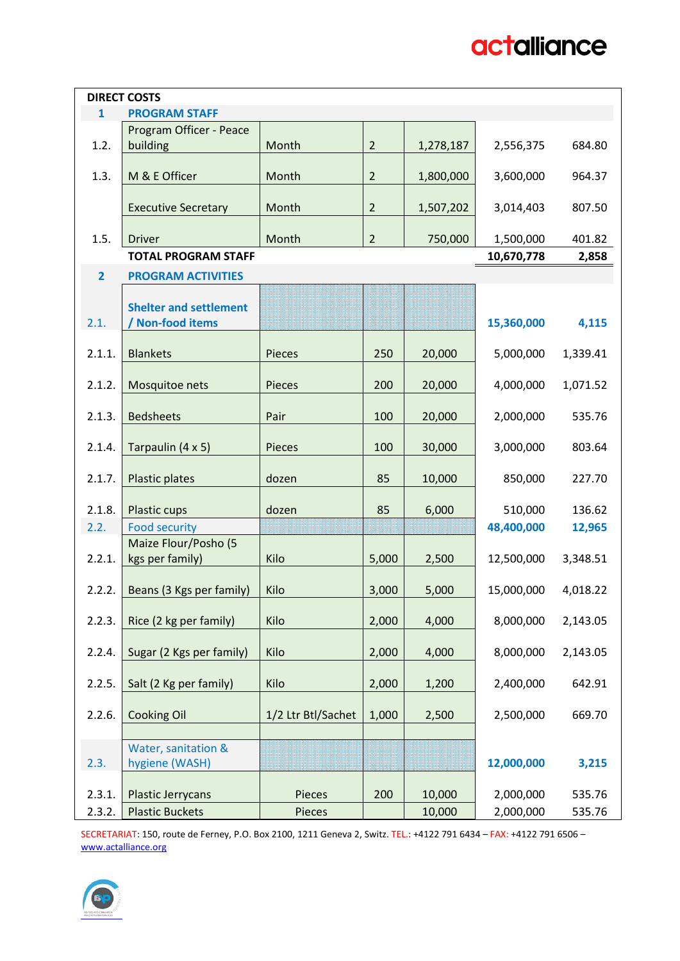|                | <b>DIRECT COSTS</b>           |                    |                |           |            |          |
|----------------|-------------------------------|--------------------|----------------|-----------|------------|----------|
| $\mathbf{1}$   | <b>PROGRAM STAFF</b>          |                    |                |           |            |          |
|                |                               |                    |                |           |            |          |
|                | Program Officer - Peace       |                    |                |           |            |          |
| 1.2.           | building                      | Month              | $\overline{2}$ | 1,278,187 | 2,556,375  | 684.80   |
|                |                               |                    |                |           |            |          |
| 1.3.           | M & E Officer                 | Month              | $\overline{2}$ | 1,800,000 | 3,600,000  | 964.37   |
|                |                               |                    |                |           |            |          |
|                | <b>Executive Secretary</b>    | Month              | $\overline{2}$ | 1,507,202 | 3,014,403  | 807.50   |
|                |                               |                    |                |           |            |          |
| 1.5.           | <b>Driver</b>                 | Month              | $\overline{2}$ | 750,000   | 1,500,000  | 401.82   |
|                | <b>TOTAL PROGRAM STAFF</b>    |                    |                |           | 10,670,778 | 2,858    |
|                |                               |                    |                |           |            |          |
| $\overline{2}$ | <b>PROGRAM ACTIVITIES</b>     |                    |                |           |            |          |
|                |                               |                    |                |           |            |          |
|                | <b>Shelter and settlement</b> |                    |                |           |            |          |
| 2.1.           | <b>Non-food items</b>         |                    |                |           | 15,360,000 | 4,115    |
|                |                               |                    |                |           |            |          |
| 2.1.1.         | <b>Blankets</b>               | Pieces             | 250            | 20,000    | 5,000,000  | 1,339.41 |
|                |                               |                    |                |           |            |          |
| 2.1.2.         | Mosquitoe nets                | Pieces             | 200            | 20,000    | 4,000,000  | 1,071.52 |
|                |                               |                    |                |           |            |          |
| 2.1.3.         | <b>Bedsheets</b>              | Pair               | 100            | 20,000    | 2,000,000  | 535.76   |
|                |                               |                    |                |           |            |          |
|                |                               |                    |                |           |            |          |
| 2.1.4.         | Tarpaulin (4 x 5)             | Pieces             | 100            | 30,000    | 3,000,000  | 803.64   |
|                |                               |                    |                |           |            |          |
| 2.1.7.         | Plastic plates                | dozen              | 85             | 10,000    | 850,000    | 227.70   |
|                |                               |                    |                |           |            |          |
| 2.1.8.         | Plastic cups                  | dozen              | 85             | 6,000     | 510,000    | 136.62   |
| 2.2.           | <b>Food security</b>          |                    |                |           | 48,400,000 | 12,965   |
|                | Maize Flour/Posho (5          |                    |                |           |            |          |
| 2.2.1.         | kgs per family)               | Kilo               | 5,000          | 2,500     | 12,500,000 | 3,348.51 |
|                |                               |                    |                |           |            |          |
| 2.2.2.         | Beans (3 Kgs per family)      | Kilo               | 3,000          | 5,000     | 15,000,000 | 4,018.22 |
|                |                               |                    |                |           |            |          |
|                |                               |                    |                |           |            |          |
| 2.2.3.         | Rice (2 kg per family)        | Kilo               | 2,000          | 4,000     | 8,000,000  | 2,143.05 |
|                |                               |                    |                |           |            |          |
| 2.2.4.         | Sugar (2 Kgs per family)      | Kilo               | 2,000          | 4,000     | 8,000,000  | 2,143.05 |
|                |                               |                    |                |           |            |          |
| 2.2.5.         | Salt (2 Kg per family)        | Kilo               | 2,000          | 1,200     | 2,400,000  | 642.91   |
|                |                               |                    |                |           |            |          |
| 2.2.6.         | <b>Cooking Oil</b>            | 1/2 Ltr Btl/Sachet | 1,000          | 2,500     | 2,500,000  | 669.70   |
|                |                               |                    |                |           |            |          |
|                | Water, sanitation &           |                    |                |           |            |          |
|                |                               |                    |                |           |            |          |
| 2.3.           | hygiene (WASH)                |                    |                |           | 12,000,000 | 3,215    |
|                |                               |                    |                |           |            |          |
| 2.3.1.         | <b>Plastic Jerrycans</b>      | Pieces             | 200            | 10,000    | 2,000,000  | 535.76   |
| 2.3.2.         | <b>Plastic Buckets</b>        | Pieces             |                | 10,000    | 2,000,000  | 535.76   |

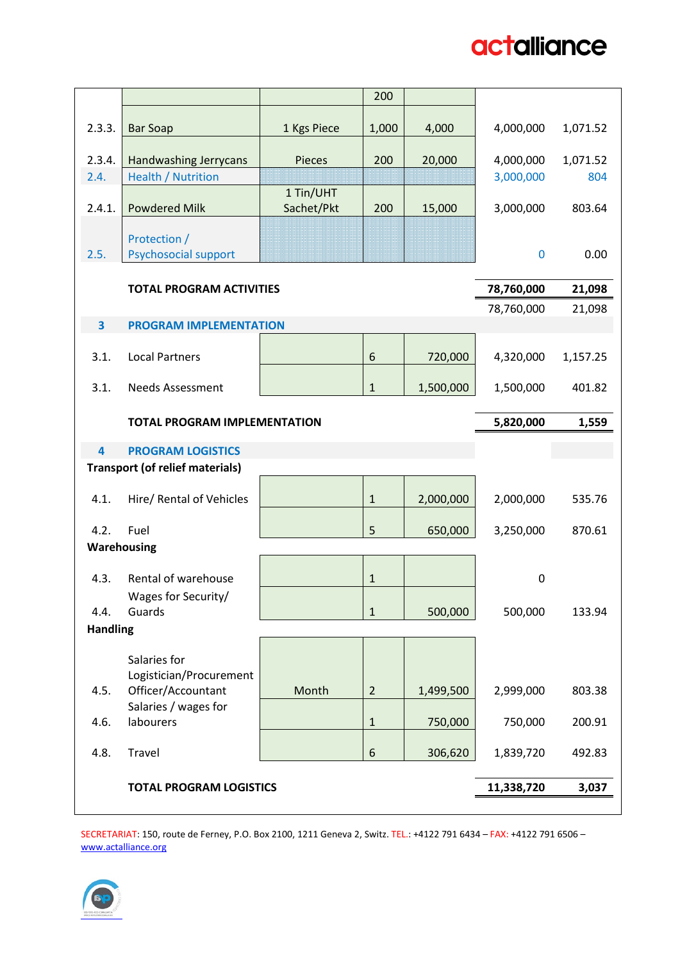|                         |                                               |               | 200            |           |            |          |
|-------------------------|-----------------------------------------------|---------------|----------------|-----------|------------|----------|
| 2.3.3.                  | <b>Bar Soap</b>                               | 1 Kgs Piece   | 1,000          | 4,000     | 4,000,000  | 1,071.52 |
| 2.3.4.                  | <b>Handwashing Jerrycans</b>                  | <b>Pieces</b> | 200            | 20,000    | 4,000,000  | 1,071.52 |
| 2.4.                    | <b>Health / Nutrition</b>                     |               |                |           | 3,000,000  | 804      |
|                         |                                               | 1 Tin/UHT     |                |           |            |          |
| 2.4.1.                  | <b>Powdered Milk</b>                          | Sachet/Pkt    | 200            | 15,000    | 3,000,000  | 803.64   |
|                         |                                               |               |                |           |            |          |
| 2.5.                    | Protection /<br><b>Psychosocial support</b>   |               |                |           | $\bf{0}$   | 0.00     |
|                         |                                               |               |                |           |            |          |
|                         | <b>TOTAL PROGRAM ACTIVITIES</b>               |               |                |           | 78,760,000 | 21,098   |
|                         |                                               |               |                |           | 78,760,000 | 21,098   |
| 3                       | <b>PROGRAM IMPLEMENTATION</b>                 |               |                |           |            |          |
|                         |                                               |               |                |           |            |          |
| 3.1.                    | <b>Local Partners</b>                         |               | 6              | 720,000   | 4,320,000  | 1,157.25 |
| 3.1.                    | <b>Needs Assessment</b>                       |               | $\mathbf{1}$   | 1,500,000 | 1,500,000  | 401.82   |
|                         |                                               |               |                |           |            |          |
|                         | <b>TOTAL PROGRAM IMPLEMENTATION</b>           | 5,820,000     | 1,559          |           |            |          |
|                         |                                               |               |                |           |            |          |
| $\overline{\mathbf{4}}$ | <b>PROGRAM LOGISTICS</b>                      |               |                |           |            |          |
|                         | <b>Transport (of relief materials)</b>        |               |                |           |            |          |
| 4.1.                    | Hire/ Rental of Vehicles                      |               | $1\,$          | 2,000,000 | 2,000,000  | 535.76   |
|                         |                                               |               |                |           |            |          |
| 4.2.                    | Fuel                                          |               | 5              | 650,000   | 3,250,000  | 870.61   |
| Warehousing             |                                               |               |                |           |            |          |
| 4.3.                    | Rental of warehouse                           |               | $\mathbf{1}$   |           | 0          |          |
|                         | Wages for Security/                           |               |                |           |            |          |
| 4.4.                    | Guards                                        |               | $\mathbf{1}$   | 500,000   | 500,000    | 133.94   |
| <b>Handling</b>         |                                               |               |                |           |            |          |
|                         |                                               |               |                |           |            |          |
|                         | Salaries for                                  |               |                |           |            |          |
| 4.5.                    | Logistician/Procurement<br>Officer/Accountant | Month         | $\overline{2}$ | 1,499,500 | 2,999,000  | 803.38   |
|                         | Salaries / wages for                          |               |                |           |            |          |
| 4.6.                    | labourers                                     |               | $\mathbf{1}$   | 750,000   | 750,000    | 200.91   |
|                         |                                               |               |                |           |            |          |
| 4.8.                    | Travel                                        |               | 6              | 306,620   | 1,839,720  | 492.83   |
|                         |                                               |               |                |           |            |          |
|                         | <b>TOTAL PROGRAM LOGISTICS</b>                |               |                |           | 11,338,720 | 3,037    |